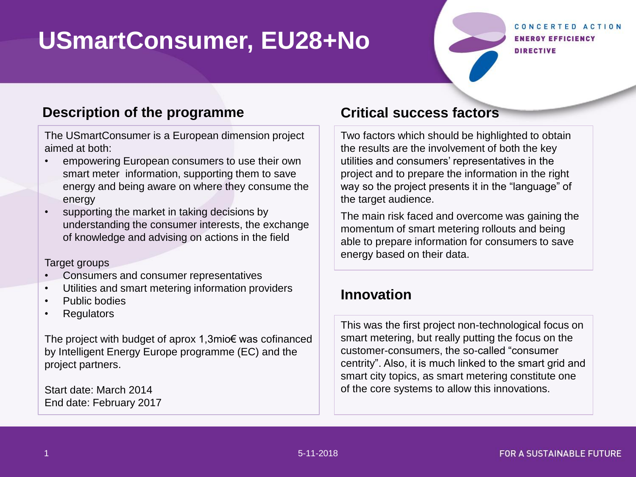# **USmartConsumer, EU28+No**

CONCERTED ACTION **ENERGY EFFICIENCY** DIRECTIVE

#### **Description of the programme Critical success factors**

The USmartConsumer is a European dimension project aimed at both:

- empowering European consumers to use their own smart meter information, supporting them to save energy and being aware on where they consume the energy
- supporting the market in taking decisions by understanding the consumer interests, the exchange of knowledge and advising on actions in the field

#### Target groups

- Consumers and consumer representatives
- Utilities and smart metering information providers
- Public bodies
- **Regulators**

The project with budget of aprox 1,3mio€ was cofinanced by Intelligent Energy Europe programme (EC) and the project partners.

Start date: March 2014 End date: February 2017

Two factors which should be highlighted to obtain the results are the involvement of both the key utilities and consumers' representatives in the project and to prepare the information in the right way so the project presents it in the "language" of the target audience.

The main risk faced and overcome was gaining the momentum of smart metering rollouts and being able to prepare information for consumers to save energy based on their data.

#### **Innovation**

This was the first project non-technological focus on smart metering, but really putting the focus on the customer-consumers, the so-called "consumer centrity". Also, it is much linked to the smart grid and smart city topics, as smart metering constitute one of the core systems to allow this innovations.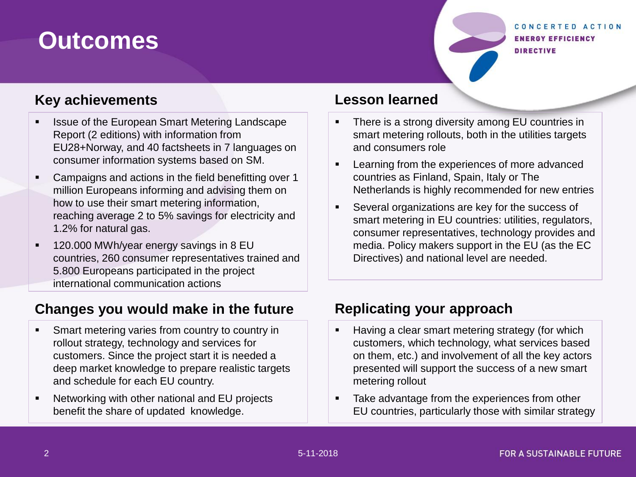## **Outcomes**

#### CONCERTED ACTION **ENERGY EFFICIENCY DIRECTIVE**

### **Key achievements**

- Issue of the European Smart Metering Landscape Report (2 editions) with information from EU28+Norway, and 40 factsheets in 7 languages on consumer information systems based on SM.
- Campaigns and actions in the field benefitting over 1 million Europeans informing and advising them on how to use their smart metering information, reaching average 2 to 5% savings for electricity and 1.2% for natural gas.
- 120.000 MWh/year energy savings in 8 EU countries, 260 consumer representatives trained and 5.800 Europeans participated in the project international communication actions

#### **Changes you would make in the future**

- **Smart metering varies from country to country in** rollout strategy, technology and services for customers. Since the project start it is needed a deep market knowledge to prepare realistic targets and schedule for each EU country.
- Networking with other national and EU projects benefit the share of updated knowledge.

#### **Lesson learned**

- There is a strong diversity among EU countries in smart metering rollouts, both in the utilities targets and consumers role
- **EXECTE Learning from the experiences of more advanced** countries as Finland, Spain, Italy or The Netherlands is highly recommended for new entries
- Several organizations are key for the success of smart metering in EU countries: utilities, regulators, consumer representatives, technology provides and media. Policy makers support in the EU (as the EC Directives) and national level are needed.

### **Replicating your approach**

- **Having a clear smart metering strategy (for which** customers, which technology, what services based on them, etc.) and involvement of all the key actors presented will support the success of a new smart metering rollout
- **Take advantage from the experiences from other** EU countries, particularly those with similar strategy